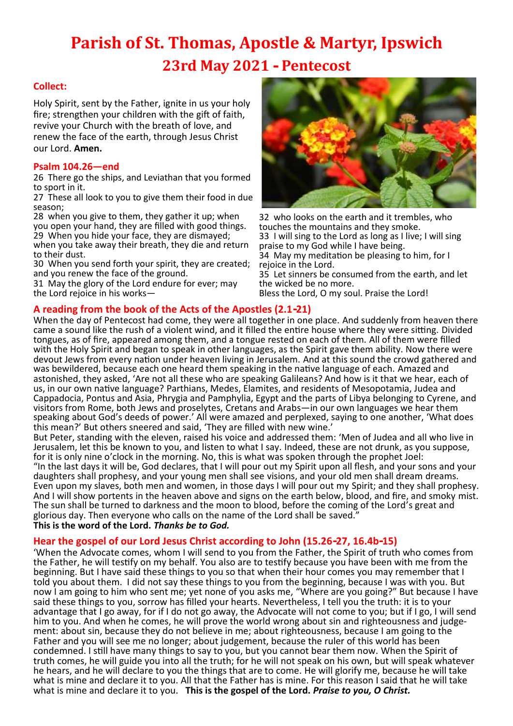# **Parish of St. Thomas, Apostle & Martyr, Ipswich 23rd May 2021 - Pentecost**

## **Collect:**

Holy Spirit, sent by the Father, ignite in us your holy fire; strengthen your children with the gift of faith, revive your Church with the breath of love, and renew the face of the earth, through Jesus Christ our Lord. **Amen.**

#### **Psalm 104.26—end**

26 There go the ships, and Leviathan that you formed to sport in it.

27 These all look to you to give them their food in due season;

28 when you give to them, they gather it up; when you open your hand, they are filled with good things. 29 When you hide your face, they are dismayed;

when you take away their breath, they die and return to their dust.

30 When you send forth your spirit, they are created; and you renew the face of the ground.

31 May the glory of the Lord endure for ever; may the Lord rejoice in his works—



32 who looks on the earth and it trembles, who touches the mountains and they smoke. 33 I will sing to the Lord as long as I live; I will sing praise to my God while I have being. 34 May my meditation be pleasing to him, for I rejoice in the Lord. 35 Let sinners be consumed from the earth, and let

the wicked be no more. Bless the Lord, O my soul. Praise the Lord!

## **A reading from the book of the Acts of the Apostles (2.1-21)**

When the day of Pentecost had come, they were all together in one place. And suddenly from heaven there came a sound like the rush of a violent wind, and it filled the entire house where they were sitting. Divided tongues, as of fire, appeared among them, and a tongue rested on each of them. All of them were filled with the Holy Spirit and began to speak in other languages, as the Spirit gave them ability. Now there were devout Jews from every nation under heaven living in Jerusalem. And at this sound the crowd gathered and was bewildered, because each one heard them speaking in the native language of each. Amazed and astonished, they asked, 'Are not all these who are speaking Galileans? And how is it that we hear, each of us, in our own native language? Parthians, Medes, Elamites, and residents of Mesopotamia, Judea and Cappadocia, Pontus and Asia, Phrygia and Pamphylia, Egypt and the parts of Libya belonging to Cyrene, and visitors from Rome, both Jews and proselytes, Cretans and Arabs—in our own languages we hear them speaking about God's deeds of power.' All were amazed and perplexed, saying to one another, 'What does this mean?' But others sneered and said, 'They are filled with new wine.'

But Peter, standing with the eleven, raised his voice and addressed them: 'Men of Judea and all who live in Jerusalem, let this be known to you, and listen to what I say. Indeed, these are not drunk, as you suppose, for it is only nine o'clock in the morning. No, this is what was spoken through the prophet Joel: "In the last days it will be, God declares, that I will pour out my Spirit upon all flesh, and your sons and your daughters shall prophesy, and your young men shall see visions, and your old men shall dream dreams. Even upon my slaves, both men and women, in those days I will pour out my Spirit; and they shall prophesy. And I will show portents in the heaven above and signs on the earth below, blood, and fire, and smoky mist. The sun shall be turned to darkness and the moon to blood, before the coming of the Lord's great and glorious day. Then everyone who calls on the name of the Lord shall be saved."

**This is the word of the Lord.** *Thanks be to God.*

## **Hear the gospel of our Lord Jesus Christ according to John (15.26-27, 16.4b-15)**

'When the Advocate comes, whom I will send to you from the Father, the Spirit of truth who comes from the Father, he will testify on my behalf. You also are to testify because you have been with me from the beginning. But I have said these things to you so that when their hour comes you may remember that I told you about them. I did not say these things to you from the beginning, because I was with you. But now I am going to him who sent me; yet none of you asks me, "Where are you going?" But because I have said these things to you, sorrow has filled your hearts. Nevertheless, I tell you the truth: it is to your advantage that I go away, for if I do not go away, the Advocate will not come to you; but if I go, I will send him to you. And when he comes, he will prove the world wrong about sin and righteousness and judgement: about sin, because they do not believe in me; about righteousness, because I am going to the Father and you will see me no longer; about judgement, because the ruler of this world has been condemned. I still have many things to say to you, but you cannot bear them now. When the Spirit of truth comes, he will guide you into all the truth; for he will not speak on his own, but will speak whatever he hears, and he will declare to you the things that are to come. He will glorify me, because he will take what is mine and declare it to you. All that the Father has is mine. For this reason I said that he will take what is mine and declare it to you. **This is the gospel of the Lord.** *Praise to you, O Christ.*